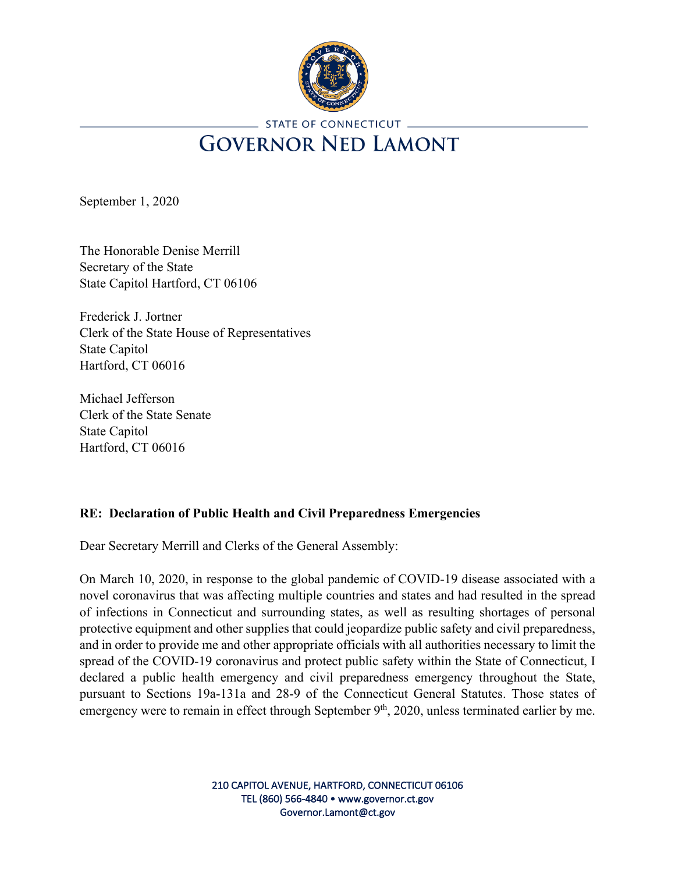

## STATE OF CONNECTICUT. **GOVERNOR NED LAMONT**

September 1, 2020

The Honorable Denise Merrill Secretary of the State State Capitol Hartford, CT 06106

Frederick J. Jortner Clerk of the State House of Representatives State Capitol Hartford, CT 06016

Michael Jefferson Clerk of the State Senate State Capitol Hartford, CT 06016

## **RE: Declaration of Public Health and Civil Preparedness Emergencies**

Dear Secretary Merrill and Clerks of the General Assembly:

On March 10, 2020, in response to the global pandemic of COVID-19 disease associated with a novel coronavirus that was affecting multiple countries and states and had resulted in the spread of infections in Connecticut and surrounding states, as well as resulting shortages of personal protective equipment and other supplies that could jeopardize public safety and civil preparedness, and in order to provide me and other appropriate officials with all authorities necessary to limit the spread of the COVID-19 coronavirus and protect public safety within the State of Connecticut, I declared a public health emergency and civil preparedness emergency throughout the State, pursuant to Sections 19a-131a and 28-9 of the Connecticut General Statutes. Those states of emergency were to remain in effect through September 9<sup>th</sup>, 2020, unless terminated earlier by me.

> 210 CAPITOL AVENUE, HARTFORD, CONNECTICUT 06106 TEL (860) 566-4840 • www.governor.ct.gov Governor.Lamont@ct.gov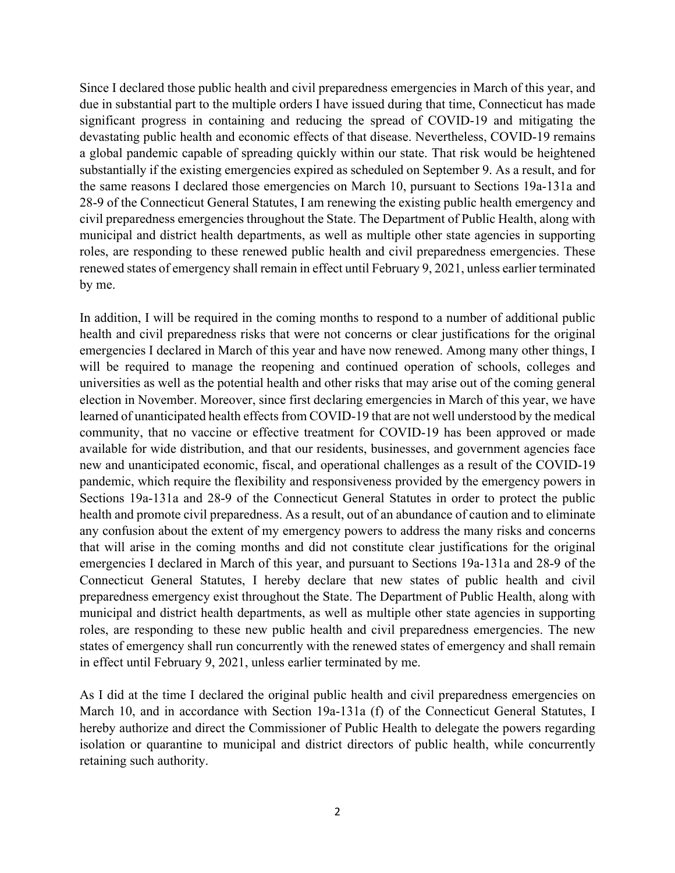Since I declared those public health and civil preparedness emergencies in March of this year, and due in substantial part to the multiple orders I have issued during that time, Connecticut has made significant progress in containing and reducing the spread of COVID-19 and mitigating the devastating public health and economic effects of that disease. Nevertheless, COVID-19 remains a global pandemic capable of spreading quickly within our state. That risk would be heightened substantially if the existing emergencies expired as scheduled on September 9. As a result, and for the same reasons I declared those emergencies on March 10, pursuant to Sections 19a-131a and 28-9 of the Connecticut General Statutes, I am renewing the existing public health emergency and civil preparedness emergencies throughout the State. The Department of Public Health, along with municipal and district health departments, as well as multiple other state agencies in supporting roles, are responding to these renewed public health and civil preparedness emergencies. These renewed states of emergency shall remain in effect until February 9, 2021, unless earlier terminated by me.

In addition, I will be required in the coming months to respond to a number of additional public health and civil preparedness risks that were not concerns or clear justifications for the original emergencies I declared in March of this year and have now renewed. Among many other things, I will be required to manage the reopening and continued operation of schools, colleges and universities as well as the potential health and other risks that may arise out of the coming general election in November. Moreover, since first declaring emergencies in March of this year, we have learned of unanticipated health effects from COVID-19 that are not well understood by the medical community, that no vaccine or effective treatment for COVID-19 has been approved or made available for wide distribution, and that our residents, businesses, and government agencies face new and unanticipated economic, fiscal, and operational challenges as a result of the COVID-19 pandemic, which require the flexibility and responsiveness provided by the emergency powers in Sections 19a-131a and 28-9 of the Connecticut General Statutes in order to protect the public health and promote civil preparedness. As a result, out of an abundance of caution and to eliminate any confusion about the extent of my emergency powers to address the many risks and concerns that will arise in the coming months and did not constitute clear justifications for the original emergencies I declared in March of this year, and pursuant to Sections 19a-131a and 28-9 of the Connecticut General Statutes, I hereby declare that new states of public health and civil preparedness emergency exist throughout the State. The Department of Public Health, along with municipal and district health departments, as well as multiple other state agencies in supporting roles, are responding to these new public health and civil preparedness emergencies. The new states of emergency shall run concurrently with the renewed states of emergency and shall remain in effect until February 9, 2021, unless earlier terminated by me.

As I did at the time I declared the original public health and civil preparedness emergencies on March 10, and in accordance with Section 19a-131a (f) of the Connecticut General Statutes, I hereby authorize and direct the Commissioner of Public Health to delegate the powers regarding isolation or quarantine to municipal and district directors of public health, while concurrently retaining such authority.